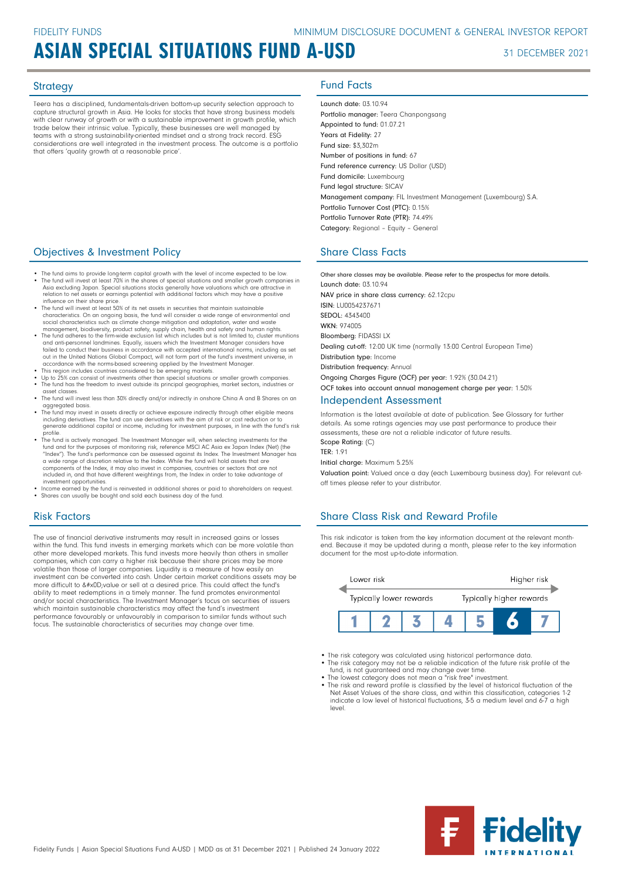Teera has a disciplined, fundamentals-driven bottom-up security selection approach to capture structural growth in Asia. He looks for stocks that have strong business models with clear runway of growth or with a sustainable improvement in growth profile, which trade below their intrinsic value. Typically, these businesses are well managed by teams with a strong sustainability-oriented mindset and a strong track record. ESG considerations are well integrated in the investment process. The outcome is a portfolio that offers 'quality growth at a reasonable price'.

### **Objectives & Investment Policy Share Class Facts** Share Class Facts

- The fund aims to provide long-term capital growth with the level of income expected to be low. • The fund will invest at least 70% in the shares of special situations and smaller growth companies in Asia excluding Japan. Special situations stocks generally have valuations which are attractive in
- relation to net assets or earnings potential with additional factors which may have a positive influence on their share price. • The fund will invest at least 50% of its net assets in securities that maintain sustainable
- characteristics. On an ongoing basis, the fund will consider a wide range of environmental and social characteristics such as climate change mitigation and adaptation, water and waste management, biodiversity, product safety, supply chain, health and safety and human rights.
- The fund adheres to the firm-wide exclusion list which includes but is not limited to, cluster munitions and anti-personnel landmines. Equally, issuers which the Investment Manager considers have failed to conduct their business in accordance with accepted international norms, including as set out in the United Nations Global Compact, will not form part of the fund's investment universe, in accordance with the norms-based screening applied by the Investment Manager.
- This region includes countries considered to be emerging markets. Up to 25% can consist of investments other than special situations or smaller growth companies.
- The fund has the freedom to invest outside its principal geographies, market sectors, industries or
- asset classes. • The fund will invest less than 30% directly and/or indirectly in onshore China A and B Shares on an
- aggregated basis. The fund may invest in assets directly or achieve exposure indirectly through other eligible means including derivatives. The fund can use derivatives with the aim of risk or cost reduction or to
- generate additional capital or income, including for investment purposes, in line with the fund's risk profile.
- The fund is actively managed. The Investment Manager will, when selecting investments for the fund and for the purposes of monitoring risk, reference MSCI AC Asia ex Japan Index (Net) (the "Index"). The fund's performance can be assessed against its Index. The Investment Manager has a wide range of discretion relative to the Index. While the fund will hold assets that are components of the Index, it may also invest in companies, countries or sectors that are not included in, and that have different weightings from, the Index in order to take advantage of investment opportunities.
- Income earned by the fund is reinvested in additional shares or paid to shareholders on request. Shares can usually be bought and sold each business day of the fund

### Risk Factors

The use of financial derivative instruments may result in increased gains or losses within the fund. This fund invests in emerging markets which can be more volatile than other more developed markets. This fund invests more heavily than others in smaller companies, which can carry a higher risk because their share prices may be more volatile than those of larger companies. Liquidity is a measure of how easily an investment can be converted into cash. Under certain market conditions assets may be more difficult to 
value or sell at a desired price. This could affect the fund's ability to meet redemptions in a timely manner. The fund promotes environmental and/or social characteristics. The Investment Manager's focus on securities of issuers which maintain sustainable characteristics may affect the fund's investment performance favourably or unfavourably in comparison to similar funds without such focus. The sustainable characteristics of securities may change over time.

## Strategy **Fund Facts**

Launch date: 03.10.94 Portfolio manager: Teera Chanpongsang Appointed to fund: 01.07.21 Years at Fidelity: 27 Fund size: \$3,302m Number of positions in fund: 67 Fund reference currency: US Dollar (USD) Fund domicile: Luxembourg Fund legal structure: SICAV Management company: FIL Investment Management (Luxembourg) S.A. Portfolio Turnover Cost (PTC): 0.15% Portfolio Turnover Rate (PTR): 74.49% Category: Regional – Equity – General

Other share classes may be available. Please refer to the prospectus for more details. Launch date: 03.10.94 NAV price in share class currency: 62.12cpu ISIN: LU0054237671 SEDOL: 4343400 **WKN**: 974005 Bloomberg: FIDASSI LX Dealing cut-off: 12:00 UK time (normally 13:00 Central European Time) Distribution type: Income Distribution frequency: Annual Ongoing Charges Figure (OCF) per year: 1.92% (30.04.21) OCF takes into account annual management charge per year: 1.50%

### Independent Assessment

Information is the latest available at date of publication. See Glossary for further details. As some ratings agencies may use past performance to produce their assessments, these are not a reliable indicator of future results. Scope Rating: (C)

TER: 1.91

Initial charge: Maximum 5.25%

Valuation point: Valued once a day (each Luxembourg business day). For relevant cutoff times please refer to your distributor.

### Share Class Risk and Reward Profile

This risk indicator is taken from the key information document at the relevant monthend. Because it may be updated during a month, please refer to the key information document for the most up-to-date information.



- The risk category was calculated using historical performance data.
- The risk category may not be a reliable indication of the future risk profile of the fund, is not guaranteed and may change over time. The lowest category does not mean a "risk free" investment.
- 
- The risk and reward profile is classified by the level of historical fluctuation of the Net Asset Values of the share class, and within this classification, categories 1-2 indicate a low level of historical fluctuations, 3-5 a medium level and 6-7 a high level.

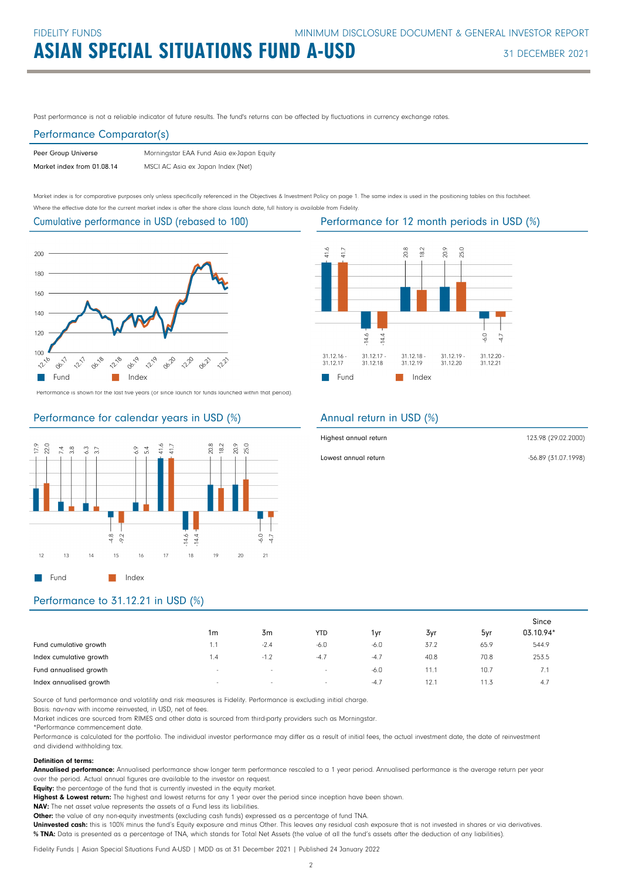Past performance is not a reliable indicator of future results. The fund's returns can be affected by fluctuations in currency exchange rates.

### Performance Comparator(s)

| Peer Group Universe        | Morningstar EAA Fund Asia ex-Japan Equity |
|----------------------------|-------------------------------------------|
| Market index from 01.08.14 | MSCI AC Asia ex Japan Index (Net)         |

Market index is for comparative purposes only unless specifically referenced in the Objectives & Investment Policy on page 1. The same index is used in the positioning tables on this factsheet. Where the effective date for the current market index is after the share class launch date, full history is available from Fidelity.

Cumulative performance in USD (rebased to 100)



Performance is shown for the last five years (or since launch for funds launched within that period).

### Performance for calendar years in USD (%)





### Annual return in USD (%)

**Fund** Index

| Highest annual return | 123.98 (29.02.2000) |
|-----------------------|---------------------|
| Lowest annual return  | -56.89 (31.07.1998) |

## Performance to 31.12.21 in USD (%)

|                         |                          |                |            |        |      |      | Since            |
|-------------------------|--------------------------|----------------|------------|--------|------|------|------------------|
|                         | 1m                       | 3 <sub>m</sub> | <b>YTD</b> | 1yr    | 3yr  | 5yr  | 03.10.94*        |
| Fund cumulative growth  | 1.1                      | $-2.4$         | $-6.0$     | $-6.0$ | 37.2 | 65.9 | 544.9            |
| Index cumulative growth | 1.4                      | $-1.2$         | $-4.7$     | $-4.7$ | 40.8 | 70.8 | 253.5            |
| Fund annualised growth  | $\overline{\phantom{a}}$ | $\sim$         | $\sim$     | $-6.0$ | 11.1 | 10.7 | $\overline{1}$ . |
| Index annualised growth | $\sim$                   | $\sim$         | $\sim$     | $-4.7$ | 12.1 | 11.3 | 4.7              |

Source of fund performance and volatility and risk measures is Fidelity. Performance is excluding initial charge.

Basis: nav-nav with income reinvested, in USD, net of fees.

Market indices are sourced from RIMES and other data is sourced from third-party providers such as Morningstar.

\*Performance commencement date.

Performance is calculated for the portfolio. The individual investor performance may differ as a result of initial fees, the actual investment date, the date of reinvestment and dividend withholding tax.

### Definition of terms:

Annualised performance: Annualised performance show longer term performance rescaled to a 1 year period. Annualised performance is the average return per year over the period. Actual annual figures are available to the investor on request.

Equity: the percentage of the fund that is currently invested in the equity market.

Highest & Lowest return: The highest and lowest returns for any 1 year over the period since inception have been shown.

NAV: The net asset value represents the assets of a Fund less its liabilities.

Other: the value of any non-equity investments (excluding cash funds) expressed as a percentage of fund TNA.

Uninvested cash: this is 100% minus the fund's Equity exposure and minus Other. This leaves any residual cash exposure that is not invested in shares or via derivatives. % TNA: Data is presented as a percentage of TNA, which stands for Total Net Assets (the value of all the fund's assets after the deduction of any liabilities).

Fidelity Funds | Asian Special Situations Fund A-USD | MDD as at 31 December 2021 | Published 24 January 2022

Performance for 12 month periods in USD (%)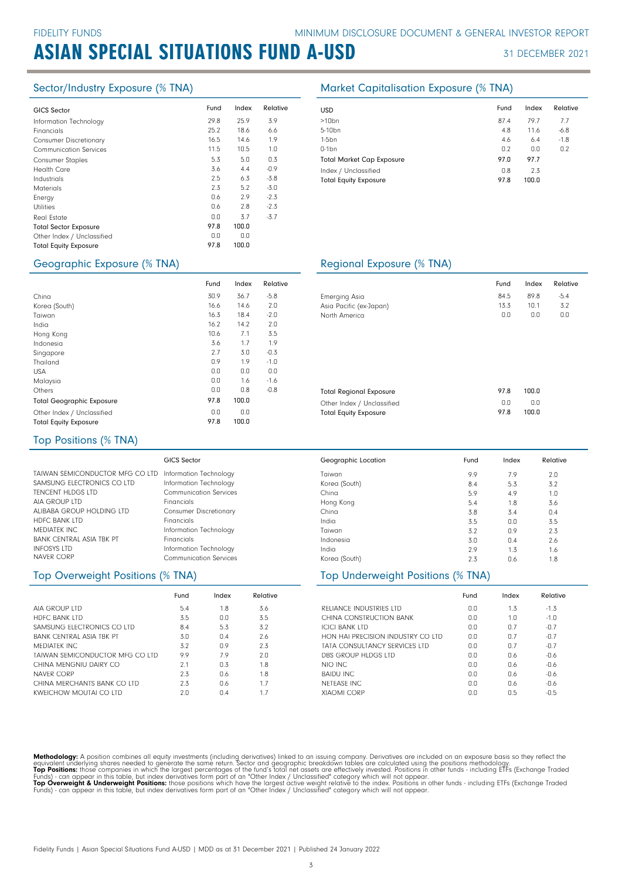| <b>GICS Sector</b>            | Fund | Index | Relative |
|-------------------------------|------|-------|----------|
|                               |      |       |          |
| Information Technology        | 29.8 | 25.9  | 3.9      |
| Financials                    | 25.2 | 18.6  | 6.6      |
| <b>Consumer Discretionary</b> | 16.5 | 14.6  | 1.9      |
| <b>Communication Services</b> | 11.5 | 10.5  | 1.0      |
| <b>Consumer Staples</b>       | 5.3  | 5.0   | 0.3      |
| <b>Health Care</b>            | 3.6  | 4.4   | $-0.9$   |
| Industrials                   | 2.5  | 6.3   | $-3.8$   |
| Materials                     | 2.3  | 5.2   | $-3.0$   |
| Energy                        | 0.6  | 2.9   | $-2.3$   |
| <b>Utilities</b>              | 0.6  | 2.8   | $-2.3$   |
| <b>Real Estate</b>            | 0.0  | 3.7   | $-3.7$   |
| <b>Total Sector Exposure</b>  | 97.8 | 100.0 |          |
| Other Index / Unclassified    | 0.0  | 0.0   |          |
| <b>Total Equity Exposure</b>  | 97.8 | 100.0 |          |

### Sector/Industry Exposure (% TNA) Market Capitalisation Exposure (% TNA)

| <b>USD</b>                                           | Fund        | Index        | Relative |
|------------------------------------------------------|-------------|--------------|----------|
| $>10$ bn                                             | 87.4        | 79.7         | 7.7      |
| 5-10 <sub>bn</sub>                                   | 4.8         | 11.6         | $-6.8$   |
| $1-5bn$                                              | 4.6         | 6.4          | $-1.8$   |
| $0-1$ bn                                             | 0.2         | 0.0          | 0.2      |
| <b>Total Market Cap Exposure</b>                     | 97.0        | 97.7         |          |
| Index / Unclassified<br><b>Total Equity Exposure</b> | 0.8<br>97.8 | 2.3<br>100.0 |          |

### Geographic Exposure (% TNA) Regional Exposure (% TNA)

|                                  | Fund | Index | Relative |                                |
|----------------------------------|------|-------|----------|--------------------------------|
| China                            | 30.9 | 36.7  | $-5.8$   | <b>Emerging Asia</b>           |
| Korea (South)                    | 16.6 | 14.6  | 2.0      | Asia Pacific (ex-Japan)        |
| Taiwan                           | 16.3 | 18.4  | $-2.0$   | North America                  |
| India                            | 16.2 | 14.2  | 2.0      |                                |
| Hong Kong                        | 10.6 | 7.1   | 3.5      |                                |
| Indonesia                        | 3.6  | 1.7   | 1.9      |                                |
| Singapore                        | 2.7  | 3.0   | $-0.3$   |                                |
| Thailand                         | 0.9  | 1.9   | $-1.0$   |                                |
| <b>USA</b>                       | 0.0  | 0.0   | 0.0      |                                |
| Malaysia                         | 0.0  | 1.6   | $-1.6$   |                                |
| Others                           | 0.0  | 0.8   | $-0.8$   | <b>Total Regional Exposure</b> |
| <b>Total Geographic Exposure</b> | 97.8 | 100.0 |          | Other Index / Unclassified     |
| Other Index / Unclassified       | 0.0  | 0.0   |          | <b>Total Equity Exposure</b>   |
| <b>Total Equity Exposure</b>     | 97.8 | 100.0 |          |                                |

|                         | Fund | Index | Relative |  |
|-------------------------|------|-------|----------|--|
| Emerging Asia           | 84.5 | 89.8  | $-5.4$   |  |
| Asia Pacific (ex-Japan) | 13.3 | 10.1  | 3.2      |  |
| North America           | 0.0  | 0.0   | 0.0      |  |
|                         |      |       |          |  |
|                         |      |       |          |  |

| <b>Total Regional Exposure</b> | 97.8 | 100.0 |
|--------------------------------|------|-------|
| Other Index / Unclassified     | n n  | 0.0   |
| <b>Total Equity Exposure</b>   | 978  | 100.0 |

### Top Positions (% TNA)

|                                                        | GICS Sector                   | Geographic Location | Fund | Index | Relative |
|--------------------------------------------------------|-------------------------------|---------------------|------|-------|----------|
| TAIWAN SEMICONDUCTOR MFG CO LTD Information Technology |                               | Taiwan              | 9.9  | 7.9   | 2.0      |
| SAMSUNG ELECTRONICS CO LTD                             | Information Technology        | Korea (South)       | 8.4  | 5.3   | 3.2      |
| TENCENT HLDGS LTD                                      | <b>Communication Services</b> | China               | 5.9  | 4.9   | 1.0      |
| AIA GROUP LTD                                          | <b>Financials</b>             | Hong Kong           | 5.4  | 1.8   | 3.6      |
| ALIBABA GROUP HOLDING LTD                              | <b>Consumer Discretionary</b> | China               | 3.8  | 3.4   | 0.4      |
| <b>HDEC BANK LTD</b>                                   | <b>Financials</b>             | India               | 3.5  | 0.0   | 3.5      |
| MEDIATEK INC                                           | Information Technology        | Taiwan              | 3.2  | 0.9   | 2.3      |
| <b>BANK CENTRAL ASIA TBK PT</b>                        | <b>Financials</b>             | Indonesia           | 3.0  | 0.4   | 2.6      |
| INFOSYS LTD                                            | Information Technology        | India               | 2.9  | 1.3   | 1.6      |
| NAVER CORP                                             | Communication Services        | Korea (South)       | 2.3  | 0.6   | 1.8      |

### Top Overweight Positions (% TNA)

|                                 | Fund | Index | Relative |
|---------------------------------|------|-------|----------|
| AIA GROUP ITD                   | 5.4  | 1.8   | 3.6      |
| <b>HDFC BANK LTD</b>            | 3.5  | 0.0   | 3.5      |
| SAMSUNG FLECTRONICS CO LTD      | 8.4  | 5.3   | 3.2      |
| BANK CENTRAL ASIA TBK PT        | 3.0  | 0.4   | 2.6      |
| MEDIATEK INC.                   | 3.2  | 0.9   | 2.3      |
| TAIWAN SEMICONDUCTOR MEG CO LTD | 9.9  | 7.9   | 2.0      |
| CHINA MENGNIU DAIRY CO          | 21   | 0.3   | 1.8      |
| NAVER CORP                      | 2.3  | 0.6   | 1.8      |
| CHINA MERCHANTS BANK CO LTD     | 2.3  | 0.6   | 1.7      |
| KWFICHOW MOUTAL CO LTD          | 2 N  | n 4   |          |

| Taiwan                            | 9.9 | 7.9 | 2.0 |  |
|-----------------------------------|-----|-----|-----|--|
| Korea (South)                     | 8.4 | 5.3 | 3.2 |  |
| China                             | 5.9 | 4.9 | 1.0 |  |
| Hong Kong                         | 5.4 | 1.8 | 3.6 |  |
| China                             | 3.8 | 3.4 | 0.4 |  |
| India                             | 3.5 | 0.0 | 3.5 |  |
| Taiwan                            | 3.2 | 0.9 | 2.3 |  |
| Indonesia                         | 3.0 | 0.4 | 2.6 |  |
| India                             | 2.9 | 1.3 | 1.6 |  |
| Korea (South)                     | 2.3 | 0.6 | 1.8 |  |
| Top Underweight Positions (% TNA) |     |     |     |  |

|                                   | Fund | Index | Relative |
|-----------------------------------|------|-------|----------|
| RELIANCE INDUSTRIES LTD           | 0.0  | 1.3   | $-1.3$   |
| CHINA CONSTRUCTION BANK           | 0.0  | 1.0   | $-1.0$   |
| <b>ICICI BANK LTD</b>             | 0.0  | 0.7   | $-0.7$   |
| HON HAI PRECISION INDUSTRY CO LTD | 0.0  | 0.7   | $-0.7$   |
| TATA CONSULTANCY SERVICES LTD     | 0.0  | 0.7   | $-0.7$   |
| DBS GROUP HLDGS LTD               | 0.0  | 0.6   | $-0.6$   |
| NIO INC                           | 0.0  | 0.6   | $-0.6$   |
| <b>BAIDU INC</b>                  | 0.0  | 0.6   | $-0.6$   |
| NFTFASF INC                       | 0.0  | 0.6   | $-0.6$   |
| <b>XIAOMI CORP</b>                | 0.0  | 0.5   | $-0.5$   |

Methodology: A position combines all equity investments (including derivatives) linked to an issuing company. Derivatives are included on an exposure basis so they reflect the<br>equivalent underlying shares needed to generat